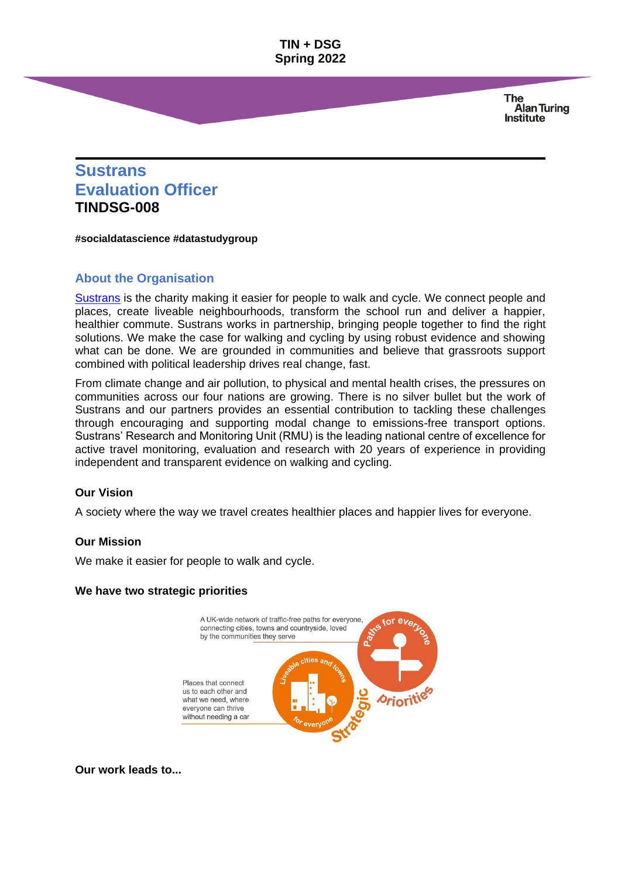> **The Alan Turing Institute**

# **Sustrans Evaluation Officer TINDSG-008**

**#socialdatascience #datastudygroup**

## **About the Organisation**

[Sustrans](https://www.sustrans.org.uk/) is the charity making it easier for people to walk and cycle. We connect people and places, create liveable neighbourhoods, transform the school run and deliver a happier, healthier commute. Sustrans works in partnership, bringing people together to find the right solutions. We make the case for walking and cycling by using robust evidence and showing what can be done. We are grounded in communities and believe that grassroots support combined with political leadership drives real change, fast.

From climate change and air pollution, to physical and mental health crises, the pressures on communities across our four nations are growing. There is no silver bullet but the work of Sustrans and our partners provides an essential contribution to tackling these challenges through encouraging and supporting modal change to emissions-free transport options. Sustrans' Research and Monitoring Unit (RMU) is the leading national centre of excellence for active travel monitoring, evaluation and research with 20 years of experience in providing independent and transparent evidence on walking and cycling.

#### **Our Vision**

A society where the way we travel creates healthier places and happier lives for everyone.

#### **Our Mission**

We make it easier for people to walk and cycle.

#### **We have two strategic prioritie[s](javascript:;)**



**Our work leads to..[.](javascript:;)**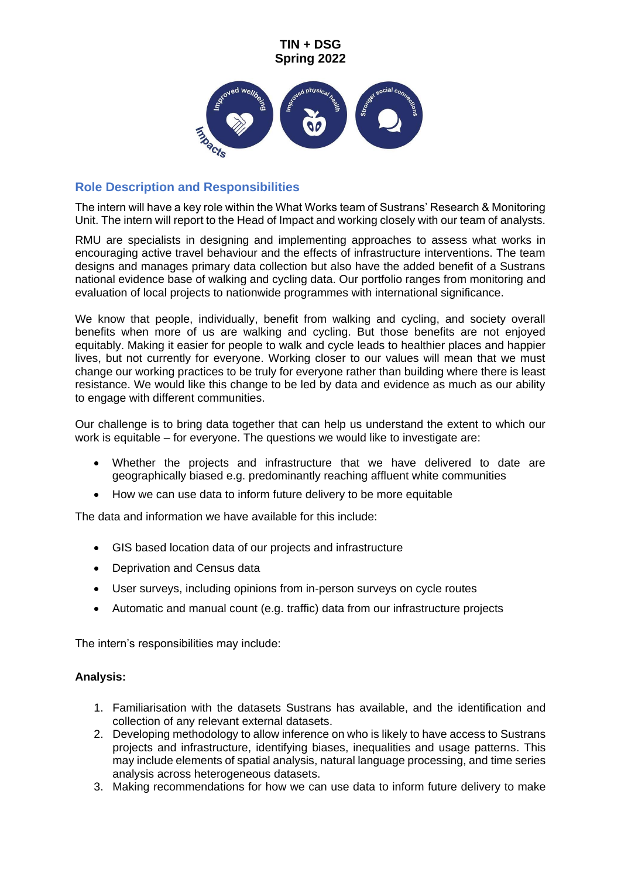

# **Role Description and Responsibilities**

The intern will have a key role within the What Works team of Sustrans' Research & Monitoring Unit. The intern will report to the Head of Impact and working closely with our team of analysts.

RMU are specialists in designing and implementing approaches to assess what works in encouraging active travel behaviour and the effects of infrastructure interventions. The team designs and manages primary data collection but also have the added benefit of a Sustrans national evidence base of walking and cycling data. Our portfolio ranges from monitoring and evaluation of local projects to nationwide programmes with international significance.

We know that people, individually, benefit from walking and cycling, and society overall benefits when more of us are walking and cycling. But those benefits are not enjoyed equitably. Making it easier for people to walk and cycle leads to healthier places and happier lives, but not currently for everyone. Working closer to our values will mean that we must change our working practices to be truly for everyone rather than building where there is least resistance. We would like this change to be led by data and evidence as much as our ability to engage with different communities.

Our challenge is to bring data together that can help us understand the extent to which our work is equitable – for everyone. The questions we would like to investigate are:

- Whether the projects and infrastructure that we have delivered to date are geographically biased e.g. predominantly reaching affluent white communities
- How we can use data to inform future delivery to be more equitable

The data and information we have available for this include:

- GIS based location data of our projects and infrastructure
- Deprivation and Census data
- User surveys, including opinions from in-person surveys on cycle routes
- Automatic and manual count (e.g. traffic) data from our infrastructure projects

The intern's responsibilities may include:

#### **Analysis:**

- 1. Familiarisation with the datasets Sustrans has available, and the identification and collection of any relevant external datasets.
- 2. Developing methodology to allow inference on who is likely to have access to Sustrans projects and infrastructure, identifying biases, inequalities and usage patterns. This may include elements of spatial analysis, natural language processing, and time series analysis across heterogeneous datasets.
- 3. Making recommendations for how we can use data to inform future delivery to make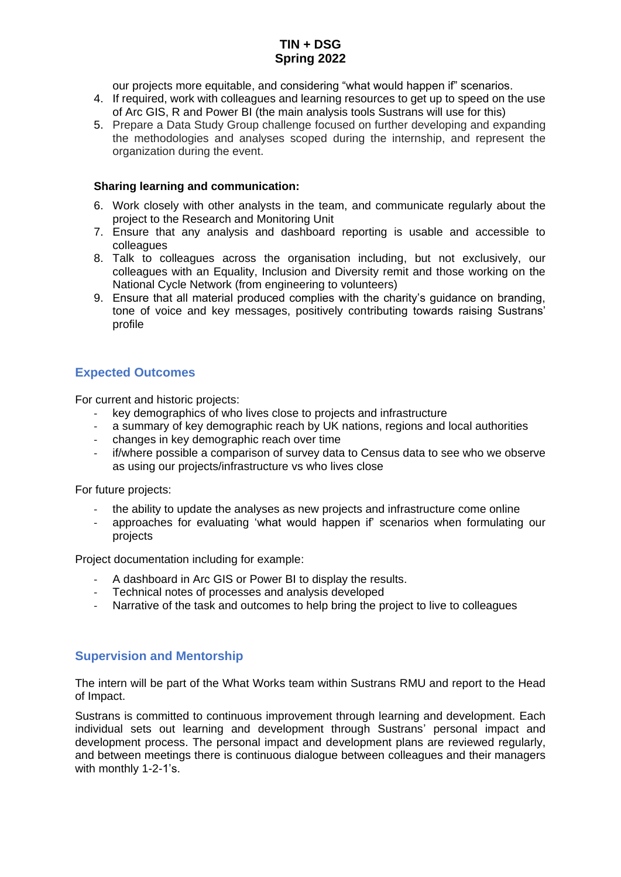our projects more equitable, and considering "what would happen if" scenarios.

- 4. If required, work with colleagues and learning resources to get up to speed on the use of Arc GIS, R and Power BI (the main analysis tools Sustrans will use for this)
- 5. Prepare a Data Study Group challenge focused on further developing and expanding the methodologies and analyses scoped during the internship, and represent the organization during the event.

### **Sharing learning and communication:**

- 6. Work closely with other analysts in the team, and communicate regularly about the project to the Research and Monitoring Unit
- 7. Ensure that any analysis and dashboard reporting is usable and accessible to colleagues
- 8. Talk to colleagues across the organisation including, but not exclusively, our colleagues with an Equality, Inclusion and Diversity remit and those working on the National Cycle Network (from engineering to volunteers)
- 9. Ensure that all material produced complies with the charity's guidance on branding, tone of voice and key messages, positively contributing towards raising Sustrans' profile

# **Expected Outcomes**

For current and historic projects:

- key demographics of who lives close to projects and infrastructure
- a summary of key demographic reach by UK nations, regions and local authorities
- changes in key demographic reach over time
- if/where possible a comparison of survey data to Census data to see who we observe as using our projects/infrastructure vs who lives close

For future projects:

- the ability to update the analyses as new projects and infrastructure come online
- approaches for evaluating 'what would happen if' scenarios when formulating our projects

Project documentation including for example:

- A dashboard in Arc GIS or Power BI to display the results.
- Technical notes of processes and analysis developed
- Narrative of the task and outcomes to help bring the project to live to colleagues

### **Supervision and Mentorship**

The intern will be part of the What Works team within Sustrans RMU and report to the Head of Impact.

Sustrans is committed to continuous improvement through learning and development. Each individual sets out learning and development through Sustrans' personal impact and development process. The personal impact and development plans are reviewed regularly, and between meetings there is continuous dialogue between colleagues and their managers with monthly 1-2-1's.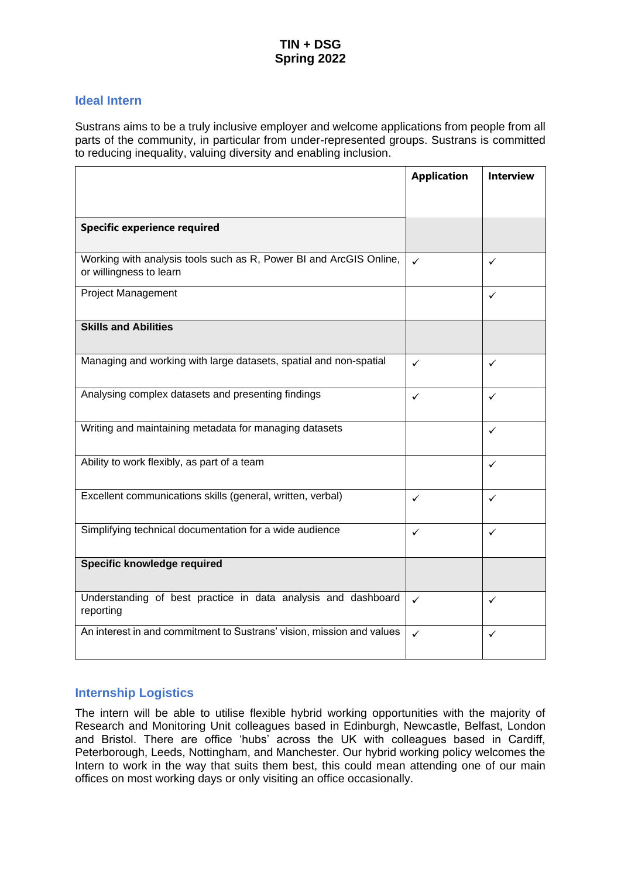### **Ideal Intern**

Sustrans aims to be a truly inclusive employer and welcome applications from people from all parts of the community, in particular from under-represented groups. Sustrans is committed to reducing inequality, valuing diversity and enabling inclusion.

|                                                                                               | <b>Application</b> | <b>Interview</b> |
|-----------------------------------------------------------------------------------------------|--------------------|------------------|
|                                                                                               |                    |                  |
| <b>Specific experience required</b>                                                           |                    |                  |
| Working with analysis tools such as R, Power BI and ArcGIS Online,<br>or willingness to learn | ✓                  | $\checkmark$     |
| <b>Project Management</b>                                                                     |                    | $\checkmark$     |
| <b>Skills and Abilities</b>                                                                   |                    |                  |
| Managing and working with large datasets, spatial and non-spatial                             | $\checkmark$       | $\checkmark$     |
| Analysing complex datasets and presenting findings                                            | ✓                  | $\checkmark$     |
| Writing and maintaining metadata for managing datasets                                        |                    | $\checkmark$     |
| Ability to work flexibly, as part of a team                                                   |                    | ✓                |
| Excellent communications skills (general, written, verbal)                                    | ✓                  | $\checkmark$     |
| Simplifying technical documentation for a wide audience                                       | ✓                  | $\checkmark$     |
| Specific knowledge required                                                                   |                    |                  |
| Understanding of best practice in data analysis and dashboard<br>reporting                    | $\checkmark$       | $\checkmark$     |
| An interest in and commitment to Sustrans' vision, mission and values                         | $\checkmark$       | ✓                |

### **Internship Logistics**

The intern will be able to utilise flexible hybrid working opportunities with the majority of Research and Monitoring Unit colleagues based in Edinburgh, Newcastle, Belfast, London and Bristol. There are office 'hubs' across the UK with colleagues based in Cardiff, Peterborough, Leeds, Nottingham, and Manchester. Our hybrid working policy welcomes the Intern to work in the way that suits them best, this could mean attending one of our main offices on most working days or only visiting an office occasionally.